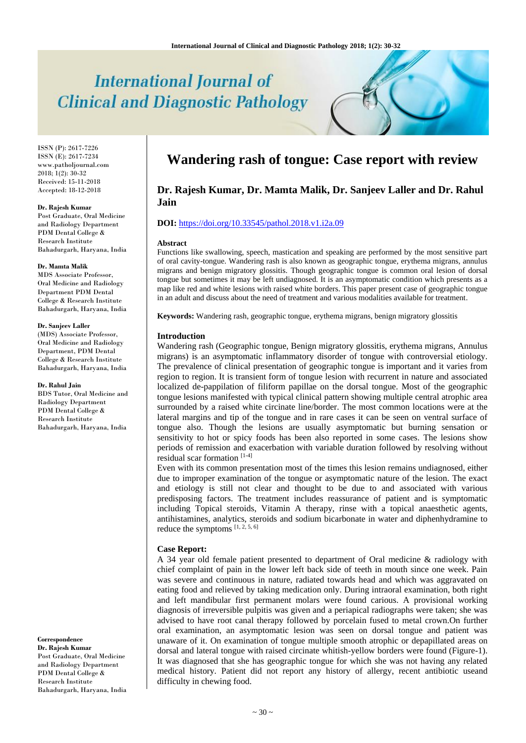# **International Journal of Clinical and Diagnostic Pathology**

ISSN (P): 2617-7226 ISSN (E): 2617-7234 www.patholjournal.com  $2018$ ;  $1(2)$ :  $30-32$ Received: 15-11-2018 Accepted: 18-12-2018

#### **Dr. Rajesh Kumar**

Post Graduate, Oral Medicine and Radiology Department PDM Dental College & Research Institute Bahadurgarh, Haryana, India

#### **Dr. Mamta Malik**

MDS Associate Professor, Oral Medicine and Radiology Department PDM Dental College & Research Institute Bahadurgarh, Haryana, India

#### **Dr. Sanjeev Laller**

(MDS) Associate Professor, Oral Medicine and Radiology Department, PDM Dental College & Research Institute Bahadurgarh, Haryana, India

#### **Dr. Rahul Jain**

BDS Tutor, Oral Medicine and Radiology Department PDM Dental College & Research Institute Bahadurgarh, Haryana, India

**Correspondence Dr. Rajesh Kumar** Post Graduate, Oral Medicine and Radiology Department PDM Dental College & Research Institute Bahadurgarh, Haryana, India

# **Wandering rash of tongue: Case report with review**

# **Dr. Rajesh Kumar, Dr. Mamta Malik, Dr. Sanjeev Laller and Dr. Rahul Jain**

# **DOI:** <https://doi.org/10.33545/pathol.2018.v1.i2a.09>

#### **Abstract**

Functions like swallowing, speech, mastication and speaking are performed by the most sensitive part of oral cavity-tongue. Wandering rash is also known as geographic tongue, erythema migrans, annulus migrans and benign migratory glossitis. Though geographic tongue is common oral lesion of dorsal tongue but sometimes it may be left undiagnosed. It is an asymptomatic condition which presents as a map like red and white lesions with raised white borders. This paper present case of geographic tongue in an adult and discuss about the need of treatment and various modalities available for treatment.

**Keywords:** Wandering rash, geographic tongue, erythema migrans, benign migratory glossitis

## **Introduction**

Wandering rash (Geographic tongue, Benign migratory glossitis, erythema migrans, Annulus migrans) is an asymptomatic inflammatory disorder of tongue with controversial etiology. The prevalence of clinical presentation of geographic tongue is important and it varies from region to region. It is transient form of tongue lesion with recurrent in nature and associated localized de-pappilation of filiform papillae on the dorsal tongue. Most of the geographic tongue lesions manifested with typical clinical pattern showing multiple central atrophic area surrounded by a raised white circinate line/border. The most common locations were at the lateral margins and tip of the tongue and in rare cases it can be seen on ventral surface of tongue also. Though the lesions are usually asymptomatic but burning sensation or sensitivity to hot or spicy foods has been also reported in some cases. The lesions show periods of remission and exacerbation with variable duration followed by resolving without residual scar formation [1-4]

Even with its common presentation most of the times this lesion remains undiagnosed, either due to improper examination of the tongue or asymptomatic nature of the lesion. The exact and etiology is still not clear and thought to be due to and associated with various predisposing factors. The treatment includes reassurance of patient and is symptomatic including Topical steroids, Vitamin A therapy, rinse with a topical anaesthetic agents, antihistamines, analytics, steroids and sodium bicarbonate in water and diphenhydramine to reduce the symptoms [1, 2, 5, 6]

## **Case Report:**

A 34 year old female patient presented to department of Oral medicine & radiology with chief complaint of pain in the lower left back side of teeth in mouth since one week. Pain was severe and continuous in nature, radiated towards head and which was aggravated on eating food and relieved by taking medication only. During intraoral examination, both right and left mandibular first permanent molars were found carious. A provisional working diagnosis of irreversible pulpitis was given and a periapical radiographs were taken; she was advised to have root canal therapy followed by porcelain fused to metal crown.On further oral examination, an asymptomatic lesion was seen on dorsal tongue and patient was unaware of it. On examination of tongue multiple smooth atrophic or depapillated areas on dorsal and lateral tongue with raised circinate whitish-yellow borders were found (Figure-1). It was diagnosed that she has geographic tongue for which she was not having any related medical history. Patient did not report any history of allergy, recent antibiotic useand difficulty in chewing food.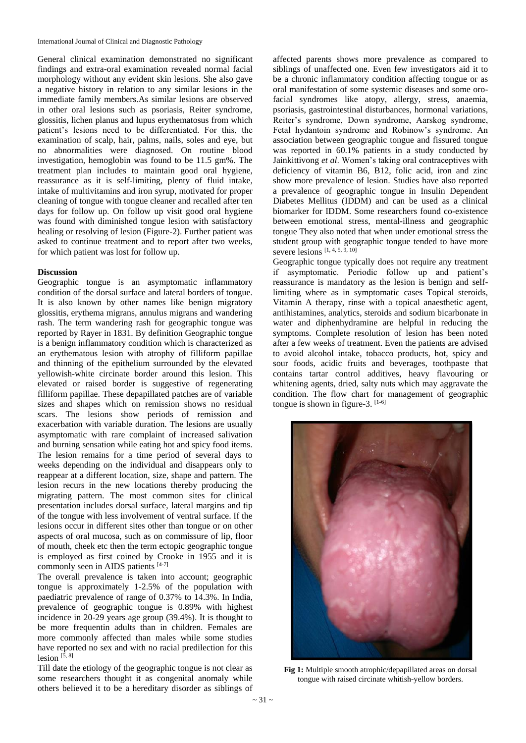General clinical examination demonstrated no significant findings and extra-oral examination revealed normal facial morphology without any evident skin lesions. She also gave a negative history in relation to any similar lesions in the immediate family members.As similar lesions are observed in other oral lesions such as psoriasis, Reiter syndrome, glossitis, lichen planus and lupus erythematosus from which patient's lesions need to be differentiated. For this, the examination of scalp, hair, palms, nails, soles and eye, but no abnormalities were diagnosed. On routine blood investigation, hemoglobin was found to be 11.5 gm%. The treatment plan includes to maintain good oral hygiene, reassurance as it is self-limiting, plenty of fluid intake, intake of multivitamins and iron syrup, motivated for proper cleaning of tongue with tongue cleaner and recalled after ten days for follow up. On follow up visit good oral hygiene was found with diminished tongue lesion with satisfactory healing or resolving of lesion (Figure-2). Further patient was asked to continue treatment and to report after two weeks, for which patient was lost for follow up.

# **Discussion**

Geographic tongue is an asymptomatic inflammatory condition of the dorsal surface and lateral borders of tongue. It is also known by other names like benign migratory glossitis, erythema migrans, annulus migrans and wandering rash. The term wandering rash for geographic tongue was reported by Rayer in 1831. By definition Geographic tongue is a benign inflammatory condition which is characterized as an erythematous lesion with atrophy of filliform papillae and thinning of the epithelium surrounded by the elevated yellowish-white circinate border around this lesion. This elevated or raised border is suggestive of regenerating filliform papillae. These depapillated patches are of variable sizes and shapes which on remission shows no residual scars. The lesions show periods of remission and exacerbation with variable duration. The lesions are usually asymptomatic with rare complaint of increased salivation and burning sensation while eating hot and spicy food items. The lesion remains for a time period of several days to weeks depending on the individual and disappears only to reappear at a different location, size, shape and pattern. The lesion recurs in the new locations thereby producing the migrating pattern. The most common sites for clinical presentation includes dorsal surface, lateral margins and tip of the tongue with less involvement of ventral surface. If the lesions occur in different sites other than tongue or on other aspects of oral mucosa, such as on commissure of lip, floor of mouth, cheek etc then the term ectopic geographic tongue is employed as first coined by Crooke in 1955 and it is commonly seen in AIDS patients [4-7]

The overall prevalence is taken into account; geographic tongue is approximately 1-2.5% of the population with paediatric prevalence of range of 0.37% to 14.3%. In India, prevalence of geographic tongue is 0.89% with highest incidence in 20-29 years age group (39.4%). It is thought to be more frequentin adults than in children. Females are more commonly affected than males while some studies have reported no sex and with no racial predilection for this lesion  $\left[5, 8\right]$ 

Till date the etiology of the geographic tongue is not clear as some researchers thought it as congenital anomaly while others believed it to be a hereditary disorder as siblings of

affected parents shows more prevalence as compared to siblings of unaffected one. Even few investigators aid it to be a chronic inflammatory condition affecting tongue or as oral manifestation of some systemic diseases and some orofacial syndromes like atopy, allergy, stress, anaemia, psoriasis, gastrointestinal disturbances, hormonal variations, Reiter's syndrome, Down syndrome, Aarskog syndrome, Fetal hydantoin syndrome and Robinow's syndrome. An association between geographic tongue and fissured tongue was reported in 60.1% patients in a study conducted by Jainkittivong *et al*. Women's taking oral contraceptives with deficiency of vitamin B6, B12, folic acid, iron and zinc show more prevalence of lesion. Studies have also reported a prevalence of geographic tongue in Insulin Dependent Diabetes Mellitus (IDDM) and can be used as a clinical biomarker for IDDM. Some researchers found co-existence between emotional stress, mental-illness and geographic tongue They also noted that when under emotional stress the student group with geographic tongue tended to have more severe lesions  $[1, 4, 5, 9, 10]$ 

Geographic tongue typically does not require any treatment if asymptomatic. Periodic follow up and patient's reassurance is mandatory as the lesion is benign and selflimiting where as in symptomatic cases Topical steroids, Vitamin A therapy, rinse with a topical anaesthetic agent, antihistamines, analytics, steroids and sodium bicarbonate in water and diphenhydramine are helpful in reducing the symptoms. Complete resolution of lesion has been noted after a few weeks of treatment. Even the patients are advised to avoid alcohol intake, tobacco products, hot, spicy and sour foods, acidic fruits and beverages, toothpaste that contains tartar control additives, heavy flavouring or whitening agents, dried, salty nuts which may aggravate the condition. The flow chart for management of geographic tongue is shown in figure-3.  $[1-6]$ 



**Fig 1:** Multiple smooth atrophic/depapillated areas on dorsal tongue with raised circinate whitish-yellow borders.